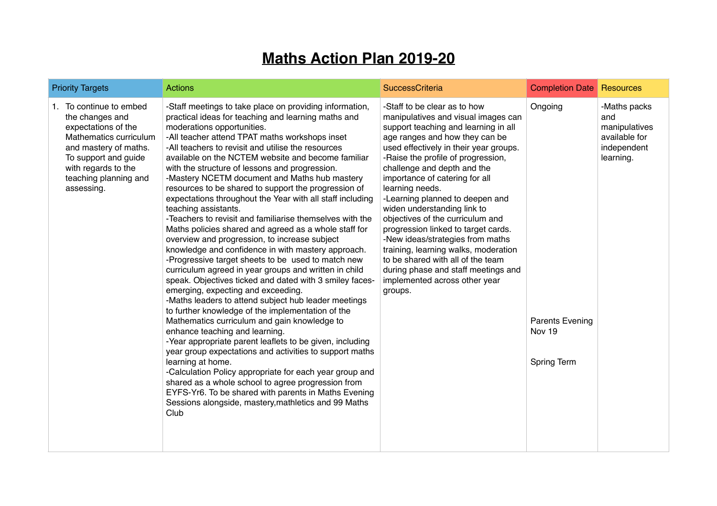## **Maths Action Plan 2019-20**

| <b>Priority Targets</b>                                                                                                                                                                                    | <b>Actions</b>                                                                                                                                                                                                                                                                                                                                                                                                                                                                                                                                                                                                                                                                                                                                                                                                                                                                                                                                                                                                                                                                                                                                                                                                                                                                                                                                                                                                                                                                                                                                                                             | SuccessCriteria                                                                                                                                                                                                                                                                                                                                                                                                                                                                                                                                                                                                                                                    | <b>Completion Date</b>                                            | Resources                                                                         |
|------------------------------------------------------------------------------------------------------------------------------------------------------------------------------------------------------------|--------------------------------------------------------------------------------------------------------------------------------------------------------------------------------------------------------------------------------------------------------------------------------------------------------------------------------------------------------------------------------------------------------------------------------------------------------------------------------------------------------------------------------------------------------------------------------------------------------------------------------------------------------------------------------------------------------------------------------------------------------------------------------------------------------------------------------------------------------------------------------------------------------------------------------------------------------------------------------------------------------------------------------------------------------------------------------------------------------------------------------------------------------------------------------------------------------------------------------------------------------------------------------------------------------------------------------------------------------------------------------------------------------------------------------------------------------------------------------------------------------------------------------------------------------------------------------------------|--------------------------------------------------------------------------------------------------------------------------------------------------------------------------------------------------------------------------------------------------------------------------------------------------------------------------------------------------------------------------------------------------------------------------------------------------------------------------------------------------------------------------------------------------------------------------------------------------------------------------------------------------------------------|-------------------------------------------------------------------|-----------------------------------------------------------------------------------|
| 1. To continue to embed<br>the changes and<br>expectations of the<br>Mathematics curriculum<br>and mastery of maths.<br>To support and guide<br>with regards to the<br>teaching planning and<br>assessing. | -Staff meetings to take place on providing information,<br>practical ideas for teaching and learning maths and<br>moderations opportunities.<br>-All teacher attend TPAT maths workshops inset<br>-All teachers to revisit and utilise the resources<br>available on the NCTEM website and become familiar<br>with the structure of lessons and progression.<br>-Mastery NCETM document and Maths hub mastery<br>resources to be shared to support the progression of<br>expectations throughout the Year with all staff including<br>teaching assistants.<br>-Teachers to revisit and familiarise themselves with the<br>Maths policies shared and agreed as a whole staff for<br>overview and progression, to increase subject<br>knowledge and confidence in with mastery approach.<br>-Progressive target sheets to be used to match new<br>curriculum agreed in year groups and written in child<br>speak. Objectives ticked and dated with 3 smiley faces-<br>emerging, expecting and exceeding.<br>-Maths leaders to attend subject hub leader meetings<br>to further knowledge of the implementation of the<br>Mathematics curriculum and gain knowledge to<br>enhance teaching and learning.<br>-Year appropriate parent leaflets to be given, including<br>year group expectations and activities to support maths<br>learning at home.<br>-Calculation Policy appropriate for each year group and<br>shared as a whole school to agree progression from<br>EYFS-Yr6. To be shared with parents in Maths Evening<br>Sessions alongside, mastery, mathletics and 99 Maths<br>Club | -Staff to be clear as to how<br>manipulatives and visual images can<br>support teaching and learning in all<br>age ranges and how they can be<br>used effectively in their year groups.<br>-Raise the profile of progression,<br>challenge and depth and the<br>importance of catering for all<br>learning needs.<br>-Learning planned to deepen and<br>widen understanding link to<br>objectives of the curriculum and<br>progression linked to target cards.<br>-New ideas/strategies from maths<br>training, learning walks, moderation<br>to be shared with all of the team<br>during phase and staff meetings and<br>implemented across other year<br>groups. | Ongoing<br><b>Parents Evening</b><br>Nov 19<br><b>Spring Term</b> | -Maths packs<br>and<br>manipulatives<br>available for<br>independent<br>learning. |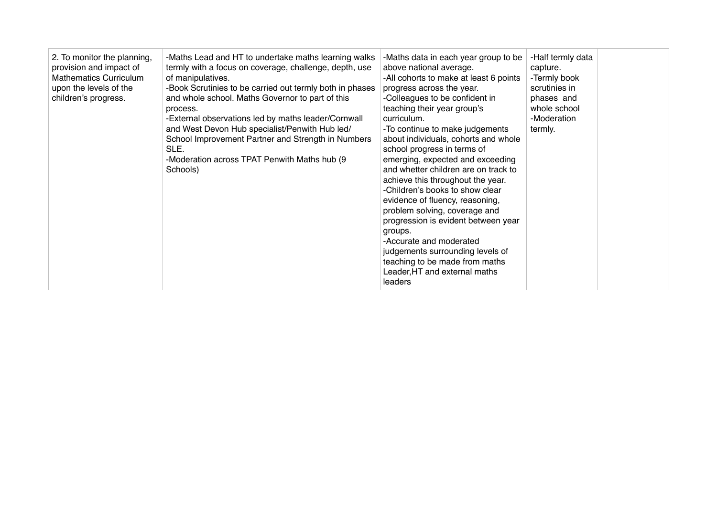| 2. To monitor the planning,<br>provision and impact of<br><b>Mathematics Curriculum</b><br>upon the levels of the<br>children's progress. | -Maths Lead and HT to undertake maths learning walks<br>termly with a focus on coverage, challenge, depth, use<br>of manipulatives.<br>-Book Scrutinies to be carried out termly both in phases<br>and whole school. Maths Governor to part of this<br>process.<br>-External observations led by maths leader/Cornwall<br>and West Devon Hub specialist/Penwith Hub led/<br>School Improvement Partner and Strength in Numbers<br>SLE.<br>-Moderation across TPAT Penwith Maths hub (9)<br>Schools) | -Maths data in each year group to be<br>above national average.<br>-All cohorts to make at least 6 points<br>progress across the year.<br>-Colleagues to be confident in<br>teaching their year group's<br>curriculum.<br>-To continue to make judgements<br>about individuals, cohorts and whole<br>school progress in terms of<br>emerging, expected and exceeding<br>and whetter children are on track to<br>achieve this throughout the year.<br>-Children's books to show clear<br>evidence of fluency, reasoning,<br>problem solving, coverage and<br>progression is evident between year<br>groups.<br>-Accurate and moderated<br>judgements surrounding levels of<br>teaching to be made from maths<br>Leader, HT and external maths<br>leaders | -Half termly data<br>capture.<br>-Termly book<br>scrutinies in<br>phases and<br>whole school<br>-Moderation<br>termly. |  |
|-------------------------------------------------------------------------------------------------------------------------------------------|-----------------------------------------------------------------------------------------------------------------------------------------------------------------------------------------------------------------------------------------------------------------------------------------------------------------------------------------------------------------------------------------------------------------------------------------------------------------------------------------------------|---------------------------------------------------------------------------------------------------------------------------------------------------------------------------------------------------------------------------------------------------------------------------------------------------------------------------------------------------------------------------------------------------------------------------------------------------------------------------------------------------------------------------------------------------------------------------------------------------------------------------------------------------------------------------------------------------------------------------------------------------------|------------------------------------------------------------------------------------------------------------------------|--|
|-------------------------------------------------------------------------------------------------------------------------------------------|-----------------------------------------------------------------------------------------------------------------------------------------------------------------------------------------------------------------------------------------------------------------------------------------------------------------------------------------------------------------------------------------------------------------------------------------------------------------------------------------------------|---------------------------------------------------------------------------------------------------------------------------------------------------------------------------------------------------------------------------------------------------------------------------------------------------------------------------------------------------------------------------------------------------------------------------------------------------------------------------------------------------------------------------------------------------------------------------------------------------------------------------------------------------------------------------------------------------------------------------------------------------------|------------------------------------------------------------------------------------------------------------------------|--|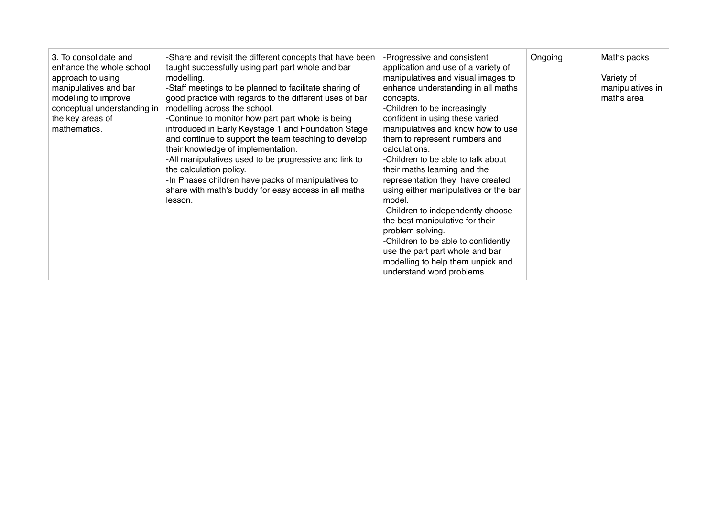| 3. To consolidate and<br>enhance the whole school<br>approach to using<br>manipulatives and bar<br>modelling to improve<br>conceptual understanding in<br>the key areas of<br>mathematics. | -Share and revisit the different concepts that have been<br>taught successfully using part part whole and bar<br>modelling.<br>-Staff meetings to be planned to facilitate sharing of<br>good practice with regards to the different uses of bar<br>modelling across the school.<br>-Continue to monitor how part part whole is being<br>introduced in Early Keystage 1 and Foundation Stage<br>and continue to support the team teaching to develop<br>their knowledge of implementation.<br>-All manipulatives used to be progressive and link to<br>the calculation policy.<br>-In Phases children have packs of manipulatives to<br>share with math's buddy for easy access in all maths<br>lesson. | -Progressive and consistent<br>application and use of a variety of<br>manipulatives and visual images to<br>enhance understanding in all maths<br>concepts.<br>-Children to be increasingly<br>confident in using these varied<br>manipulatives and know how to use<br>them to represent numbers and<br>calculations.<br>-Children to be able to talk about<br>their maths learning and the<br>representation they have created<br>using either manipulatives or the bar<br>model.<br>-Children to independently choose<br>the best manipulative for their<br>problem solving.<br>-Children to be able to confidently<br>use the part part whole and bar<br>modelling to help them unpick and<br>understand word problems. | Ongoing | Maths packs<br>Variety of<br>manipulatives in<br>maths area |
|--------------------------------------------------------------------------------------------------------------------------------------------------------------------------------------------|---------------------------------------------------------------------------------------------------------------------------------------------------------------------------------------------------------------------------------------------------------------------------------------------------------------------------------------------------------------------------------------------------------------------------------------------------------------------------------------------------------------------------------------------------------------------------------------------------------------------------------------------------------------------------------------------------------|----------------------------------------------------------------------------------------------------------------------------------------------------------------------------------------------------------------------------------------------------------------------------------------------------------------------------------------------------------------------------------------------------------------------------------------------------------------------------------------------------------------------------------------------------------------------------------------------------------------------------------------------------------------------------------------------------------------------------|---------|-------------------------------------------------------------|
|--------------------------------------------------------------------------------------------------------------------------------------------------------------------------------------------|---------------------------------------------------------------------------------------------------------------------------------------------------------------------------------------------------------------------------------------------------------------------------------------------------------------------------------------------------------------------------------------------------------------------------------------------------------------------------------------------------------------------------------------------------------------------------------------------------------------------------------------------------------------------------------------------------------|----------------------------------------------------------------------------------------------------------------------------------------------------------------------------------------------------------------------------------------------------------------------------------------------------------------------------------------------------------------------------------------------------------------------------------------------------------------------------------------------------------------------------------------------------------------------------------------------------------------------------------------------------------------------------------------------------------------------------|---------|-------------------------------------------------------------|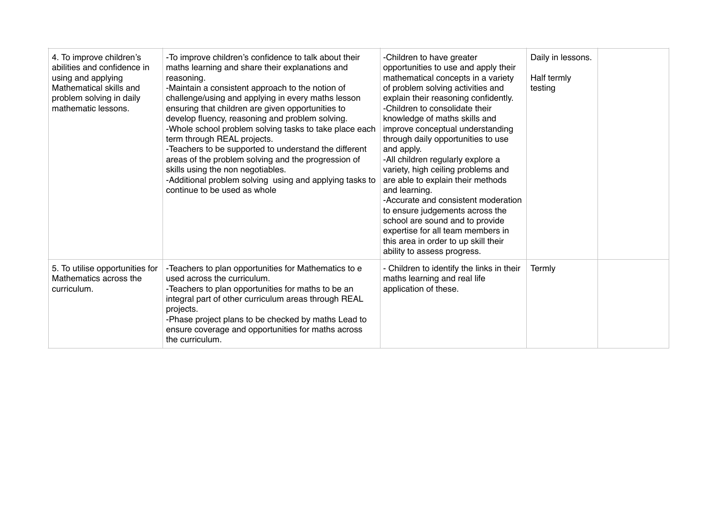| 4. To improve children's<br>abilities and confidence in<br>using and applying<br>Mathematical skills and<br>problem solving in daily<br>mathematic lessons. | -To improve children's confidence to talk about their<br>maths learning and share their explanations and<br>reasoning.<br>-Maintain a consistent approach to the notion of<br>challenge/using and applying in every maths lesson<br>ensuring that children are given opportunities to<br>develop fluency, reasoning and problem solving.<br>-Whole school problem solving tasks to take place each<br>term through REAL projects.<br>-Teachers to be supported to understand the different<br>areas of the problem solving and the progression of<br>skills using the non negotiables.<br>-Additional problem solving using and applying tasks to<br>continue to be used as whole | -Children to have greater<br>opportunities to use and apply their<br>mathematical concepts in a variety<br>of problem solving activities and<br>explain their reasoning confidently.<br>-Children to consolidate their<br>knowledge of maths skills and<br>improve conceptual understanding<br>through daily opportunities to use<br>and apply.<br>-All children regularly explore a<br>variety, high ceiling problems and<br>are able to explain their methods<br>and learning.<br>-Accurate and consistent moderation<br>to ensure judgements across the<br>school are sound and to provide<br>expertise for all team members in<br>this area in order to up skill their<br>ability to assess progress. | Daily in lessons.<br>Half termly<br>testing |  |
|-------------------------------------------------------------------------------------------------------------------------------------------------------------|-----------------------------------------------------------------------------------------------------------------------------------------------------------------------------------------------------------------------------------------------------------------------------------------------------------------------------------------------------------------------------------------------------------------------------------------------------------------------------------------------------------------------------------------------------------------------------------------------------------------------------------------------------------------------------------|-----------------------------------------------------------------------------------------------------------------------------------------------------------------------------------------------------------------------------------------------------------------------------------------------------------------------------------------------------------------------------------------------------------------------------------------------------------------------------------------------------------------------------------------------------------------------------------------------------------------------------------------------------------------------------------------------------------|---------------------------------------------|--|
| 5. To utilise opportunities for<br>Mathematics across the<br>curriculum.                                                                                    | -Teachers to plan opportunities for Mathematics to e<br>used across the curriculum.<br>-Teachers to plan opportunities for maths to be an<br>integral part of other curriculum areas through REAL<br>projects.<br>-Phase project plans to be checked by maths Lead to<br>ensure coverage and opportunities for maths across<br>the curriculum.                                                                                                                                                                                                                                                                                                                                    | - Children to identify the links in their<br>maths learning and real life<br>application of these.                                                                                                                                                                                                                                                                                                                                                                                                                                                                                                                                                                                                        | Termly                                      |  |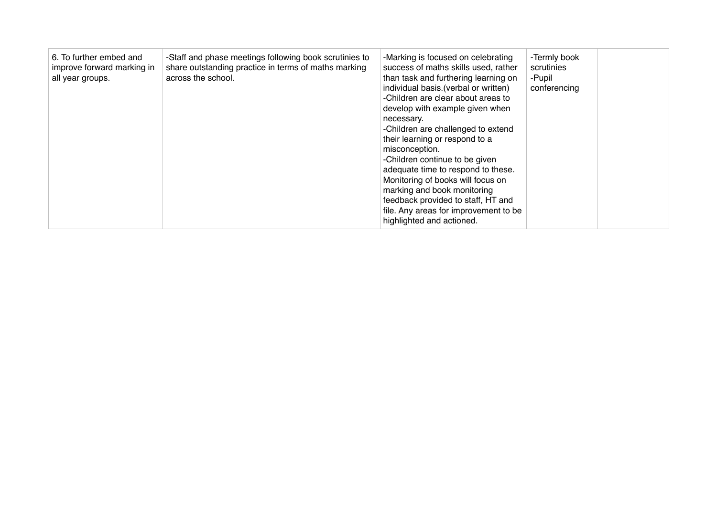| 6. To further embed and<br>improve forward marking in<br>all year groups. | -Staff and phase meetings following book scrutinies to<br>share outstanding practice in terms of maths marking<br>across the school. | -Marking is focused on celebrating<br>success of maths skills used, rather<br>than task and furthering learning on<br>individual basis. (verbal or written)<br>-Children are clear about areas to<br>develop with example given when<br>necessary.<br>-Children are challenged to extend<br>their learning or respond to a<br>misconception.<br>-Children continue to be given<br>adequate time to respond to these.<br>Monitoring of books will focus on<br>marking and book monitoring<br>feedback provided to staff, HT and<br>file. Any areas for improvement to be<br>highlighted and actioned. | -Termly book<br>scrutinies<br>-Pupil<br>conferencing |  |
|---------------------------------------------------------------------------|--------------------------------------------------------------------------------------------------------------------------------------|------------------------------------------------------------------------------------------------------------------------------------------------------------------------------------------------------------------------------------------------------------------------------------------------------------------------------------------------------------------------------------------------------------------------------------------------------------------------------------------------------------------------------------------------------------------------------------------------------|------------------------------------------------------|--|
|---------------------------------------------------------------------------|--------------------------------------------------------------------------------------------------------------------------------------|------------------------------------------------------------------------------------------------------------------------------------------------------------------------------------------------------------------------------------------------------------------------------------------------------------------------------------------------------------------------------------------------------------------------------------------------------------------------------------------------------------------------------------------------------------------------------------------------------|------------------------------------------------------|--|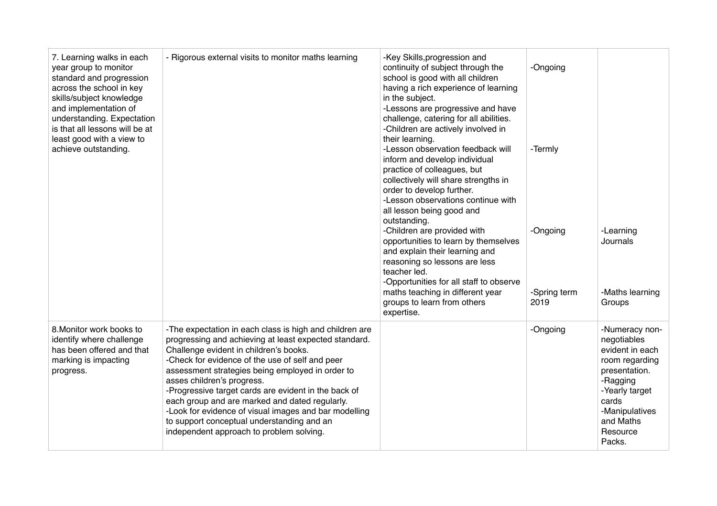| 7. Learning walks in each<br>year group to monitor<br>standard and progression<br>across the school in key<br>skills/subject knowledge<br>and implementation of<br>understanding. Expectation<br>is that all lessons will be at<br>least good with a view to<br>achieve outstanding. | - Rigorous external visits to monitor maths learning                                                                                                                                                                                                                                                                                                                                                                                                                                                                                                         | -Key Skills, progression and<br>continuity of subject through the<br>school is good with all children<br>having a rich experience of learning<br>in the subject.<br>-Lessons are progressive and have<br>challenge, catering for all abilities.<br>-Children are actively involved in<br>their learning.<br>-Lesson observation feedback will | -Ongoing<br>-Termly              |                                                                                                                                                                                 |
|--------------------------------------------------------------------------------------------------------------------------------------------------------------------------------------------------------------------------------------------------------------------------------------|--------------------------------------------------------------------------------------------------------------------------------------------------------------------------------------------------------------------------------------------------------------------------------------------------------------------------------------------------------------------------------------------------------------------------------------------------------------------------------------------------------------------------------------------------------------|-----------------------------------------------------------------------------------------------------------------------------------------------------------------------------------------------------------------------------------------------------------------------------------------------------------------------------------------------|----------------------------------|---------------------------------------------------------------------------------------------------------------------------------------------------------------------------------|
|                                                                                                                                                                                                                                                                                      |                                                                                                                                                                                                                                                                                                                                                                                                                                                                                                                                                              | inform and develop individual<br>practice of colleagues, but<br>collectively will share strengths in<br>order to develop further.<br>-Lesson observations continue with<br>all lesson being good and<br>outstanding.                                                                                                                          |                                  |                                                                                                                                                                                 |
|                                                                                                                                                                                                                                                                                      |                                                                                                                                                                                                                                                                                                                                                                                                                                                                                                                                                              | -Children are provided with<br>opportunities to learn by themselves<br>and explain their learning and<br>reasoning so lessons are less<br>teacher led.<br>-Opportunities for all staff to observe<br>maths teaching in different year<br>groups to learn from others<br>expertise.                                                            | -Ongoing<br>-Spring term<br>2019 | -Learning<br>Journals<br>-Maths learning<br>Groups                                                                                                                              |
| 8. Monitor work books to<br>identify where challenge<br>has been offered and that<br>marking is impacting<br>progress.                                                                                                                                                               | -The expectation in each class is high and children are<br>progressing and achieving at least expected standard.<br>Challenge evident in children's books.<br>-Check for evidence of the use of self and peer<br>assessment strategies being employed in order to<br>asses children's progress.<br>-Progressive target cards are evident in the back of<br>each group and are marked and dated regularly.<br>-Look for evidence of visual images and bar modelling<br>to support conceptual understanding and an<br>independent approach to problem solving. |                                                                                                                                                                                                                                                                                                                                               | -Ongoing                         | -Numeracy non-<br>negotiables<br>evident in each<br>room regarding<br>presentation.<br>-Ragging<br>-Yearly target<br>cards<br>-Manipulatives<br>and Maths<br>Resource<br>Packs. |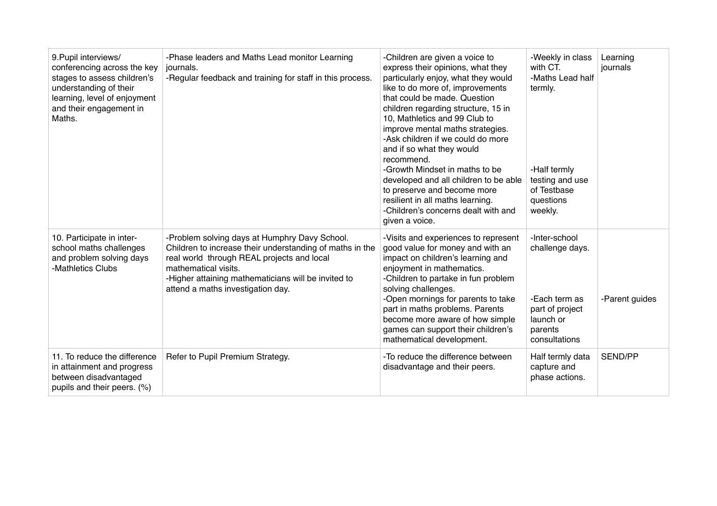| 9. Pupil interviews/<br>conferencing across the key<br>stages to assess children's<br>understanding of their<br>learning, level of enjoyment<br>and their engagement in<br>Maths. | -Phase leaders and Maths Lead monitor Learning<br>journals.<br>-Regular feedback and training for staff in this process.                                                                                                                                                    | -Children are given a voice to<br>express their opinions, what they<br>particularly enjoy, what they would<br>like to do more of, improvements<br>that could be made. Question<br>children regarding structure, 15 in<br>10, Mathletics and 99 Club to<br>improve mental maths strategies.<br>-Ask children if we could do more<br>and if so what they would<br>recommend.<br>-Growth Mindset in maths to be<br>developed and all children to be able<br>to preserve and become more<br>resilient in all maths learning.<br>-Children's concerns dealt with and<br>given a voice. | -Weekly in class<br>with CT.<br>-Maths Lead half<br>termly.<br>-Half termly<br>testing and use<br>of Testbase<br>questions<br>weekly. | Learning<br>journals |
|-----------------------------------------------------------------------------------------------------------------------------------------------------------------------------------|-----------------------------------------------------------------------------------------------------------------------------------------------------------------------------------------------------------------------------------------------------------------------------|-----------------------------------------------------------------------------------------------------------------------------------------------------------------------------------------------------------------------------------------------------------------------------------------------------------------------------------------------------------------------------------------------------------------------------------------------------------------------------------------------------------------------------------------------------------------------------------|---------------------------------------------------------------------------------------------------------------------------------------|----------------------|
| 10. Participate in inter-<br>school maths challenges<br>and problem solving days<br>-Mathletics Clubs                                                                             | -Problem solving days at Humphry Davy School.<br>Children to increase their understanding of maths in the<br>real world through REAL projects and local<br>mathematical visits.<br>-Higher attaining mathematicians will be invited to<br>attend a maths investigation day. | -Visits and experiences to represent<br>good value for money and with an<br>impact on children's learning and<br>enjoyment in mathematics.<br>-Children to partake in fun problem<br>solving challenges.<br>-Open mornings for parents to take<br>part in maths problems. Parents<br>become more aware of how simple<br>games can support their children's<br>mathematical development.                                                                                                                                                                                           | -Inter-school<br>challenge days.<br>-Each term as<br>part of project<br>launch or<br>parents<br>consultations                         | -Parent guides       |
| 11. To reduce the difference<br>in attainment and progress<br>between disadvantaged<br>pupils and their peers. (%)                                                                | Refer to Pupil Premium Strategy.                                                                                                                                                                                                                                            | -To reduce the difference between<br>disadvantage and their peers.                                                                                                                                                                                                                                                                                                                                                                                                                                                                                                                | Half termly data<br>capture and<br>phase actions.                                                                                     | SEND/PP              |